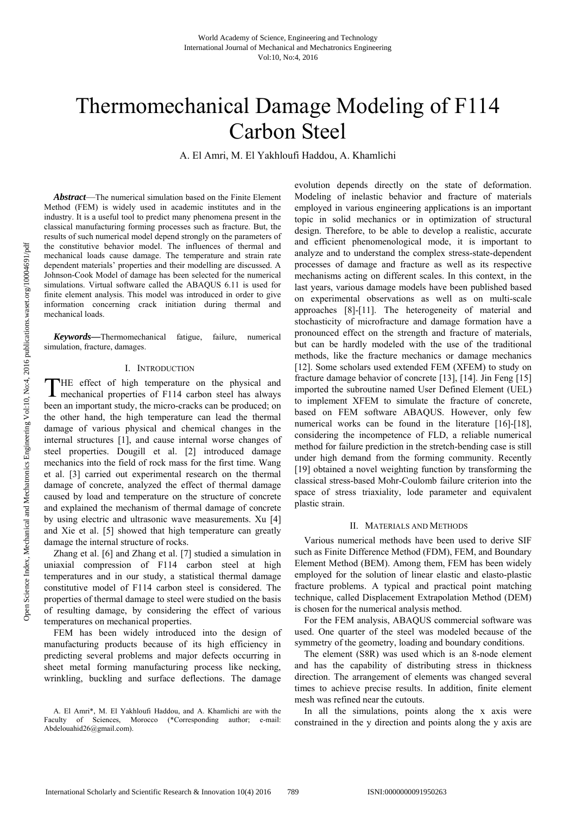# Thermomechanical Damage Modeling of F114 Carbon Steel

A. El Amri, M. El Yakhloufi Haddou, A. Khamlichi

*Abstract*—The numerical simulation based on the Finite Element Method (FEM) is widely used in academic institutes and in the industry. It is a useful tool to predict many phenomena present in the classical manufacturing forming processes such as fracture. But, the results of such numerical model depend strongly on the parameters of the constitutive behavior model. The influences of thermal and mechanical loads cause damage. The temperature and strain rate dependent materials' properties and their modelling are discussed. A Johnson-Cook Model of damage has been selected for the numerical simulations. Virtual software called the ABAQUS 6.11 is used for finite element analysis. This model was introduced in order to give information concerning crack initiation during thermal and mechanical loads.

*Keywords—*Thermomechanical fatigue, failure, numerical simulation, fracture, damages.

## I. INTRODUCTION

HE effect of high temperature on the physical and THE effect of high temperature on the physical and mechanical properties of F114 carbon steel has always been an important study, the micro-cracks can be produced; on the other hand, the high temperature can lead the thermal damage of various physical and chemical changes in the internal structures [1], and cause internal worse changes of steel properties. Dougill et al. [2] introduced damage mechanics into the field of rock mass for the first time. Wang et al. [3] carried out experimental research on the thermal damage of concrete, analyzed the effect of thermal damage caused by load and temperature on the structure of concrete and explained the mechanism of thermal damage of concrete by using electric and ultrasonic wave measurements. Xu [4] and Xie et al. [5] showed that high temperature can greatly damage the internal structure of rocks.

Zhang et al. [6] and Zhang et al. [7] studied a simulation in uniaxial compression of F114 carbon steel at high temperatures and in our study, a statistical thermal damage constitutive model of F114 carbon steel is considered. The properties of thermal damage to steel were studied on the basis of resulting damage, by considering the effect of various temperatures on mechanical properties.

FEM has been widely introduced into the design of manufacturing products because of its high efficiency in predicting several problems and major defects occurring in sheet metal forming manufacturing process like necking, wrinkling, buckling and surface deflections. The damage

evolution depends directly on the state of deformation. Modeling of inelastic behavior and fracture of materials employed in various engineering applications is an important topic in solid mechanics or in optimization of structural design. Therefore, to be able to develop a realistic, accurate and efficient phenomenological mode, it is important to analyze and to understand the complex stress-state-dependent processes of damage and fracture as well as its respective mechanisms acting on different scales. In this context, in the last years, various damage models have been published based on experimental observations as well as on multi-scale approaches [8]-[11]. The heterogeneity of material and stochasticity of microfracture and damage formation have a pronounced effect on the strength and fracture of materials, but can be hardly modeled with the use of the traditional methods, like the fracture mechanics or damage mechanics [12]. Some scholars used extended FEM (XFEM) to study on fracture damage behavior of concrete [13], [14]. Jin Feng [15] imported the subroutine named User Defined Element (UEL) to implement XFEM to simulate the fracture of concrete, based on FEM software ABAQUS. However, only few numerical works can be found in the literature [16]-[18], considering the incompetence of FLD, a reliable numerical method for failure prediction in the stretch-bending case is still under high demand from the forming community. Recently [19] obtained a novel weighting function by transforming the classical stress-based Mohr-Coulomb failure criterion into the space of stress triaxiality, lode parameter and equivalent plastic strain.

## II. MATERIALS AND METHODS

Various numerical methods have been used to derive SIF such as Finite Difference Method (FDM), FEM, and Boundary Element Method (BEM). Among them, FEM has been widely employed for the solution of linear elastic and elasto-plastic fracture problems. A typical and practical point matching technique, called Displacement Extrapolation Method (DEM) is chosen for the numerical analysis method.

For the FEM analysis, ABAQUS commercial software was used. One quarter of the steel was modeled because of the symmetry of the geometry, loading and boundary conditions.

The element (S8R) was used which is an 8-node element and has the capability of distributing stress in thickness direction. The arrangement of elements was changed several times to achieve precise results. In addition, finite element mesh was refined near the cutouts.

In all the simulations, points along the x axis were constrained in the y direction and points along the y axis are

A. El Amri\*, M. El Yakhloufi Haddou, and A. Khamlichi are with the Faculty of Sciences, Morocco (\*Corresponding author; e-mail: Abdelouahid26@gmail.com).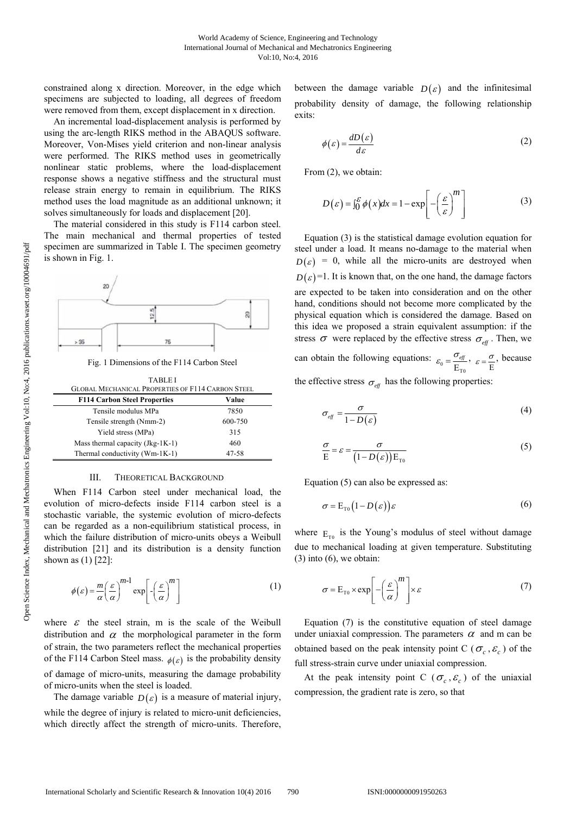constrained along x direction. Moreover, in the edge which specimens are subjected to loading, all degrees of freedom were removed from them, except displacement in x direction.

An incremental load-displacement analysis is performed by using the arc-length RIKS method in the ABAQUS software. Moreover, Von-Mises yield criterion and non-linear analysis were performed. The RIKS method uses in geometrically nonlinear static problems, where the load-displacement response shows a negative stiffness and the structural must release strain energy to remain in equilibrium. The RIKS method uses the load magnitude as an additional unknown; it solves simultaneously for loads and displacement [20].

The material considered in this study is F114 carbon steel. The main mechanical and thermal properties of tested specimen are summarized in Table I. The specimen geometry is shown in Fig. 1.



Fig. 1 Dimensions of the F114 Carbon Steel

| <b>TABLEI</b><br><b>GLOBAL MECHANICAL PROPERTIES OF F114 CARBON STEEL</b> |         |
|---------------------------------------------------------------------------|---------|
| <b>F114 Carbon Steel Properties</b>                                       | Value   |
| Tensile modulus MPa                                                       | 7850    |
| Tensile strength (Nmm-2)                                                  | 600-750 |
| Yield stress (MPa)                                                        | 315     |
| Mass thermal capacity $(Jkg-1K-1)$                                        | 460     |
| Thermal conductivity (Wm-1K-1)                                            | 47-58   |

## III. THEORETICAL BACKGROUND

When F114 Carbon steel under mechanical load, the evolution of micro-defects inside F114 carbon steel is a stochastic variable, the systemic evolution of micro-defects can be regarded as a non-equilibrium statistical process, in which the failure distribution of micro-units obeys a Weibull distribution [21] and its distribution is a density function shown as (1) [22]:

$$
\phi(\varepsilon) = \frac{m}{\alpha} \left(\frac{\varepsilon}{\alpha}\right)^{m-1} \exp\left[-\left(\frac{\varepsilon}{\alpha}\right)^m\right]
$$
 (1)

where  $\varepsilon$  the steel strain, m is the scale of the Weibull distribution and  $\alpha$  the morphological parameter in the form of strain, the two parameters reflect the mechanical properties of the F114 Carbon Steel mass.  $\phi(\varepsilon)$  is the probability density of damage of micro-units, measuring the damage probability of micro-units when the steel is loaded.

The damage variable  $D(\varepsilon)$  is a measure of material injury, while the degree of injury is related to micro-unit deficiencies, which directly affect the strength of micro-units. Therefore, between the damage variable  $D(\varepsilon)$  and the infinitesimal probability density of damage, the following relationship exits:

$$
\phi(\varepsilon) = \frac{dD(\varepsilon)}{d\varepsilon} \tag{2}
$$

From (2), we obtain:

$$
D(\varepsilon) = \int_0^{\varepsilon} \phi(x) dx = 1 - \exp\left[-\left(\frac{\varepsilon}{\varepsilon}\right)^m\right]
$$
 (3)

Equation (3) is the statistical damage evolution equation for steel under a load. It means no-damage to the material when  $D(\varepsilon) = 0$ , while all the micro-units are destroyed when  $D(\varepsilon)$ =1. It is known that, on the one hand, the damage factors are expected to be taken into consideration and on the other hand, conditions should not become more complicated by the physical equation which is considered the damage. Based on this idea we proposed a strain equivalent assumption: if the stress  $\sigma$  were replaced by the effective stress  $\sigma_{\text{eff}}$ . Then, we

can obtain the following equations:  $\varepsilon_0 = \frac{\sigma_{\text{eff}}}{E_{\text{TO}}}$  $\varepsilon_{\circ} = \frac{\sigma_{\textit{ef}}}{\sigma}$  $=\frac{\sigma_{\text{eff}}}{E_{\text{TO}}}, \varepsilon = \frac{\sigma}{E}, \text{ because}$ 

the effective stress  $\sigma_{\text{eff}}$  has the following properties:

$$
\sigma_{\text{eff}} = \frac{\sigma}{1 - D(\varepsilon)}\tag{4}
$$

$$
\frac{\sigma}{E} = \varepsilon = \frac{\sigma}{\left(1 - D(\varepsilon)\right)E_{\text{To}}}
$$
\n(5)

Equation (5) can also be expressed as:

$$
\sigma = \mathcal{E}_{\text{to}} \left( 1 - D \left( \varepsilon \right) \right) \varepsilon \tag{6}
$$

where  $E_{\tau_0}$  is the Young's modulus of steel without damage due to mechanical loading at given temperature. Substituting  $(3)$  into  $(6)$ , we obtain:

$$
\sigma = E_{\tau_0} \times \exp\left[-\left(\frac{\varepsilon}{\alpha}\right)^m\right] \times \varepsilon \tag{7}
$$

Equation (7) is the constitutive equation of steel damage under uniaxial compression. The parameters  $\alpha$  and m can be obtained based on the peak intensity point C ( $\sigma_c$ ,  $\varepsilon_c$ ) of the full stress-strain curve under uniaxial compression.

At the peak intensity point C ( $\sigma_c$ ,  $\varepsilon_c$ ) of the uniaxial compression, the gradient rate is zero, so that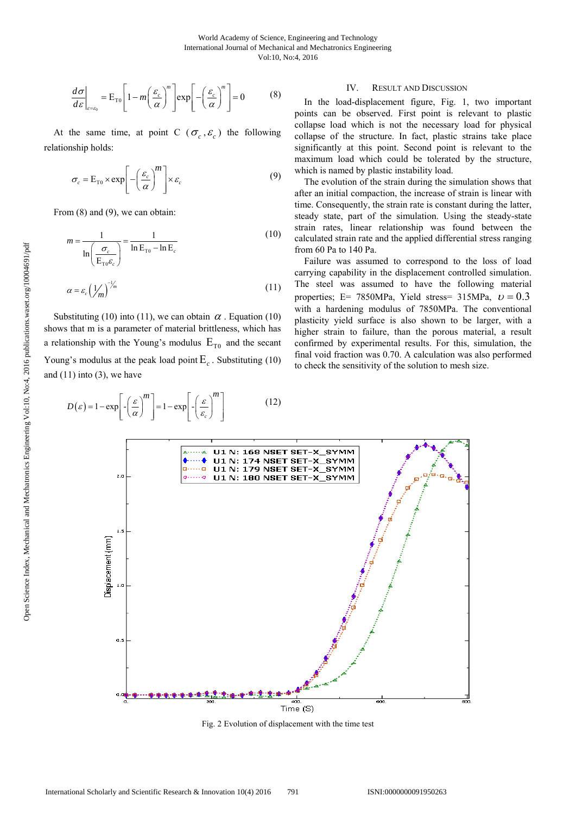$$
\frac{d\sigma}{d\varepsilon}\bigg|_{\varepsilon=\varepsilon_0} = \mathcal{E}_{\text{TO}} \left[1 - m \left(\frac{\varepsilon_c}{\alpha}\right)^m\right] \exp\left[-\left(\frac{\varepsilon_c}{\alpha}\right)^m\right] = 0 \tag{8}
$$

At the same time, at point C ( $\sigma_c$ , $\varepsilon_c$ ) the following relationship holds:

$$
\sigma_c = E_{\tau 0} \times \exp\left[-\left(\frac{\varepsilon_c}{\alpha}\right)^m\right] \times \varepsilon_c \tag{9}
$$

From  $(8)$  and  $(9)$ , we can obtain:

$$
m = \frac{1}{\ln\left(\frac{\sigma_c}{E_{\text{T0}}\varepsilon_c}\right)} = \frac{1}{\ln E_{\text{T0}} - \ln E_c}
$$
(10)

$$
\alpha = \varepsilon_c \left(\frac{1}{m}\right)^{-1/m} \tag{11}
$$

Substituting (10) into (11), we can obtain  $\alpha$ . Equation (10) shows that m is a parameter of material brittleness, which has a relationship with the Young's modulus  $E_{\tau_0}$  and the secant Young's modulus at the peak load point  $E_c$ . Substituting (10) and  $(11)$  into  $(3)$ , we have

#### $\varepsilon$ ) = 1 – exp| -|  $\frac{1}{2}$ | | = 1 – exp| *c*  $m \rceil \qquad \lceil \frac{m}{\sqrt{m}} \rceil$  $D(\varepsilon) = 1 - \exp\left[-\left(\frac{\varepsilon}{\alpha}\right)^m\right] = 1 - \exp\left[-\left(\frac{\varepsilon}{\varepsilon_c}\right)^m\right]$ (12)

## IV. RESULT AND DISCUSSION

In the load-displacement figure, Fig. 1, two important points can be observed. First point is relevant to plastic collapse load which is not the necessary load for physical collapse of the structure. In fact, plastic strains take place significantly at this point. Second point is relevant to the maximum load which could be tolerated by the structure, which is named by plastic instability load.

The evolution of the strain during the simulation shows that after an initial compaction, the increase of strain is linear with time. Consequently, the strain rate is constant during the latter, steady state, part of the simulation. Using the steady-state strain rates, linear relationship was found between the calculated strain rate and the applied differential stress ranging from 60 Pa to 140 Pa.

Failure was assumed to correspond to the loss of load carrying capability in the displacement controlled simulation. The steel was assumed to have the following material properties; E= 7850MPa, Yield stress= 315MPa,  $v = 0.3$ with a hardening modulus of 7850MPa. The conventional plasticity yield surface is also shown to be larger, with a higher strain to failure, than the porous material, a result confirmed by experimental results. For this, simulation, the final void fraction was 0.70. A calculation was also performed to check the sensitivity of the solution to mesh size.



Fig. 2 Evolution of displacement with the time test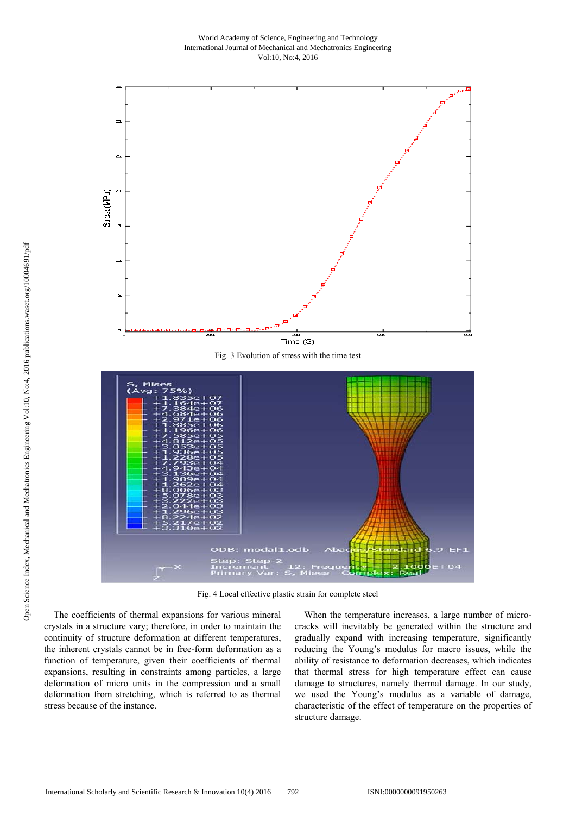## World Academy of Science, Engineering and Technology International Journal of Mechanical and Mechatronics Engineering Vol:10, No:4, 2016



Fig. 4 Local effective plastic strain for complete steel

The coefficients of thermal expansions for various mineral crystals in a structure vary; therefore, in order to maintain the continuity of structure deformation at different temperatures, the inherent crystals cannot be in free-form deformation as a function of temperature, given their coefficients of thermal expansions, resulting in constraints among particles, a large deformation of micro units in the compression and a small deformation from stretching, which is referred to as thermal stress because of the instance.

When the temperature increases, a large number of microcracks will inevitably be generated within the structure and gradually expand with increasing temperature, significantly reducing the Young's modulus for macro issues, while the ability of resistance to deformation decreases, which indicates that thermal stress for high temperature effect can cause damage to structures, namely thermal damage. In our study, we used the Young's modulus as a variable of damage, characteristic of the effect of temperature on the properties of structure damage.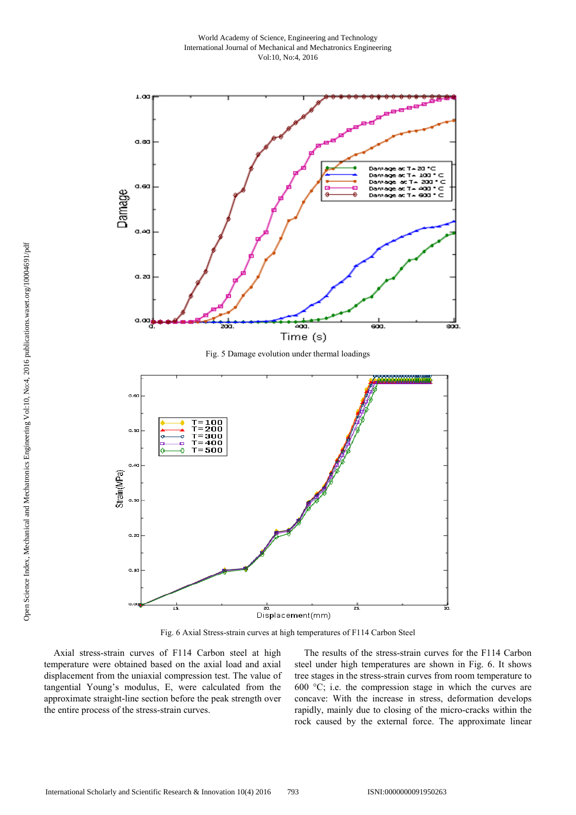

Fig. 6 Axial Stress-strain curves at high temperatures of F114 Carbon Steel

Axial stress-strain curves of F114 Carbon steel at high temperature were obtained based on the axial load and axial displacement from the uniaxial compression test. The value of tangential Young's modulus, E, were calculated from the approximate straight-line section before the peak strength over the entire process of the stress-strain curves.

The results of the stress-strain curves for the F114 Carbon steel under high temperatures are shown in Fig. 6. It shows tree stages in the stress-strain curves from room temperature to 600 °C; i.e. the compression stage in which the curves are concave: With the increase in stress, deformation develops rapidly, mainly due to closing of the micro-cracks within the rock caused by the external force. The approximate linear